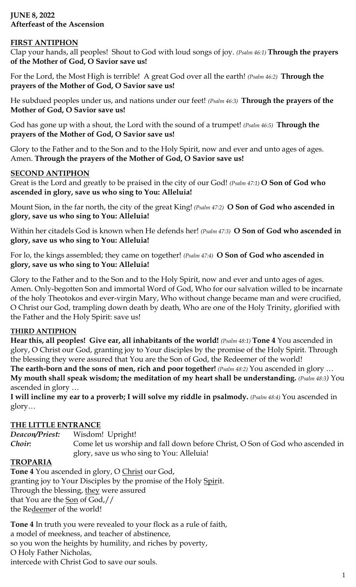# **JUNE 8, 2022 Afterfeast of the Ascension**

### **FIRST ANTIPHON**

Clap your hands, all peoples! Shout to God with loud songs of joy. *(Psalm 46:1)* **Through the prayers of the Mother of God, O Savior save us!**

For the Lord, the Most High is terrible! A great God over all the earth! *(Psalm 46:2)* **Through the prayers of the Mother of God, O Savior save us!**

He subdued peoples under us, and nations under our feet! *(Psalm 46:3)* **Through the prayers of the Mother of God, O Savior save us!**

God has gone up with a shout, the Lord with the sound of a trumpet! *(Psalm 46:5)* **Through the prayers of the Mother of God, O Savior save us!**

Glory to the Father and to the Son and to the Holy Spirit, now and ever and unto ages of ages. Amen. **Through the prayers of the Mother of God, O Savior save us!**

### **SECOND ANTIPHON**

Great is the Lord and greatly to be praised in the city of our God! *(Psalm 47:1)* **O Son of God who ascended in glory, save us who sing to You: Alleluia!**

Mount Sion, in the far north, the city of the great King! *(Psalm 47:2)* **O Son of God who ascended in glory, save us who sing to You: Alleluia!**

Within her citadels God is known when He defends her! *(Psalm 47:3)* **O Son of God who ascended in glory, save us who sing to You: Alleluia!**

For lo, the kings assembled; they came on together! *(Psalm 47:4)* **O Son of God who ascended in glory, save us who sing to You: Alleluia!**

Glory to the Father and to the Son and to the Holy Spirit, now and ever and unto ages of ages. Amen. Only-begotten Son and immortal Word of God, Who for our salvation willed to be incarnate of the holy Theotokos and ever-virgin Mary, Who without change became man and were crucified, O Christ our God, trampling down death by death, Who are one of the Holy Trinity, glorified with the Father and the Holy Spirit: save us!

#### **THIRD ANTIPHON**

**Hear this, all peoples! Give ear, all inhabitants of the world!** *(Psalm 48:1)* **Tone 4** You ascended in glory, O Christ our God, granting joy to Your disciples by the promise of the Holy Spirit. Through the blessing they were assured that You are the Son of God, the Redeemer of the world!

**The earth-born and the sons of men, rich and poor together!** *(Psalm 48:2)* You ascended in glory … **My mouth shall speak wisdom; the meditation of my heart shall be understanding.** *(Psalm 48:3)* You ascended in glory …

**I will incline my ear to a proverb; I will solve my riddle in psalmody.** *(Psalm 48:4)* You ascended in glory…

## **THE LITTLE ENTRANCE**

*Deacon/Priest:* Wisdom! Upright! *Choir*: Come let us worship and fall down before Christ, O Son of God who ascended in glory, save us who sing to You: Alleluia!

#### **TROPARIA**

**Tone 4** You ascended in glory, O Christ our God, granting joy to Your Disciples by the promise of the Holy Spirit. Through the blessing, they were assured that You are the Son of God,// the Redeemer of the world!

**Tone 4** In truth you were revealed to your flock as a rule of faith, a model of meekness, and teacher of abstinence, so you won the heights by humility, and riches by poverty, O Holy Father Nicholas, intercede with Christ God to save our souls.